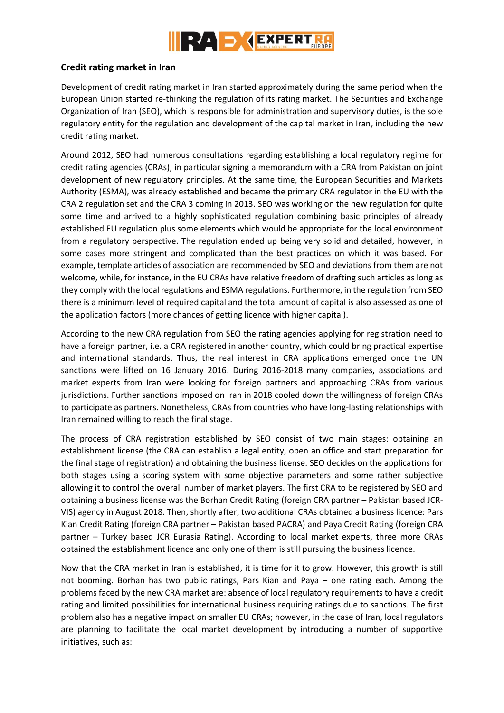

## **Credit rating market in Iran**

Development of credit rating market in Iran started approximately during the same period when the European Union started re-thinking the regulation of its rating market. The Securities and Exchange Organization of Iran (SEO), which is responsible for administration and supervisory duties, is the sole regulatory entity for the regulation and development of the capital market in Iran, including the new credit rating market.

Around 2012, SEO had numerous consultations regarding establishing a local regulatory regime for credit rating agencies (CRAs), in particular signing a memorandum with a CRA from Pakistan on joint development of new regulatory principles. At the same time, the European Securities and Markets Authority (ESMA), was already established and became the primary CRA regulator in the EU with the CRA 2 regulation set and the CRA 3 coming in 2013. SEO was working on the new regulation for quite some time and arrived to a highly sophisticated regulation combining basic principles of already established EU regulation plus some elements which would be appropriate for the local environment from a regulatory perspective. The regulation ended up being very solid and detailed, however, in some cases more stringent and complicated than the best practices on which it was based. For example, template articles of association are recommended by SEO and deviations from them are not welcome, while, for instance, in the EU CRAs have relative freedom of drafting such articles as long as they comply with the local regulations and ESMA regulations. Furthermore, in the regulation from SEO there is a minimum level of required capital and the total amount of capital is also assessed as one of the application factors (more chances of getting licence with higher capital).

According to the new CRA regulation from SEO the rating agencies applying for registration need to have a foreign partner, i.e. a CRA registered in another country, which could bring practical expertise and international standards. Thus, the real interest in CRA applications emerged once the UN sanctions were lifted on 16 January 2016. During 2016-2018 many companies, associations and market experts from Iran were looking for foreign partners and approaching CRAs from various jurisdictions. Further sanctions imposed on Iran in 2018 cooled down the willingness of foreign CRAs to participate as partners. Nonetheless, CRAs from countries who have long-lasting relationships with Iran remained willing to reach the final stage.

The process of CRA registration established by SEO consist of two main stages: obtaining an establishment license (the CRA can establish a legal entity, open an office and start preparation for the final stage of registration) and obtaining the business license. SEO decides on the applications for both stages using a scoring system with some objective parameters and some rather subjective allowing it to control the overall number of market players. The first CRA to be registered by SEO and obtaining a business license was the Borhan Credit Rating (foreign CRA partner – Pakistan based JCR-VIS) agency in August 2018. Then, shortly after, two additional CRAs obtained a business licence: Pars Kian Credit Rating (foreign CRA partner – Pakistan based PACRA) and Paya Credit Rating (foreign CRA partner – Turkey based JCR Eurasia Rating). According to local market experts, three more CRAs obtained the establishment licence and only one of them is still pursuing the business licence.

Now that the CRA market in Iran is established, it is time for it to grow. However, this growth is still not booming. Borhan has two public ratings, Pars Kian and Paya – one rating each. Among the problems faced by the new CRA market are: absence of local regulatory requirements to have a credit rating and limited possibilities for international business requiring ratings due to sanctions. The first problem also has a negative impact on smaller EU CRAs; however, in the case of Iran, local regulators are planning to facilitate the local market development by introducing a number of supportive initiatives, such as: